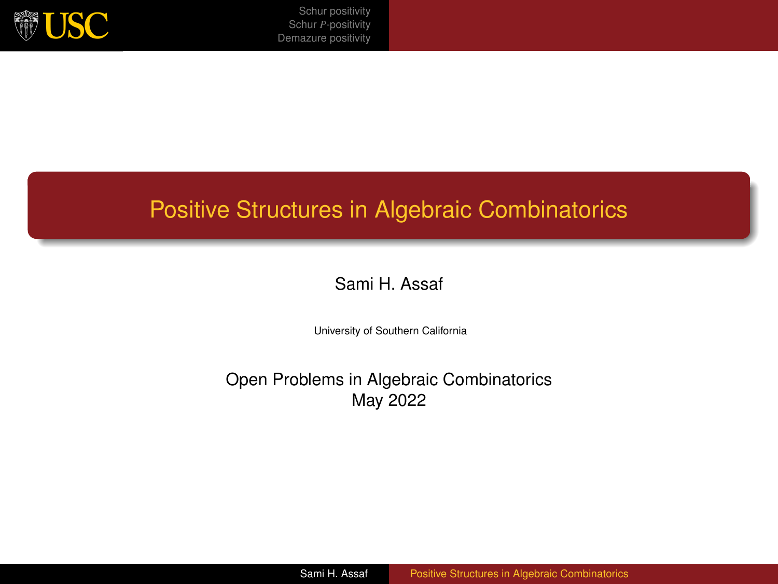<span id="page-0-0"></span>

## Positive Structures in Algebraic Combinatorics

#### Sami H. Assaf

University of Southern California

Open Problems in Algebraic Combinatorics May 2022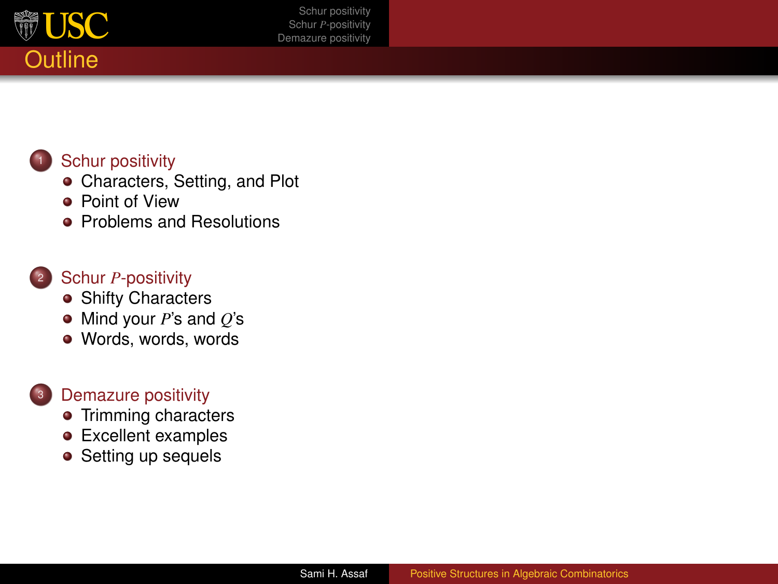

### [Schur positivity](#page-2-0)

- **[Characters, Setting, and Plot](#page-3-0)**
- **•** [Point of View](#page-6-0)
- **•** [Problems and Resolutions](#page-7-0)

#### Schur *P*[-positivity](#page-10-0)

- **[Shifty Characters](#page-11-0)**
- [Mind your](#page-14-0) *P*'s and *Q*'s
- [Words, words, words](#page-15-0)

#### [Demazure positivity](#page-16-0)

- [Trimming characters](#page-17-0)
- **•** [Excellent examples](#page-20-0)
- [Setting up sequels](#page-22-0)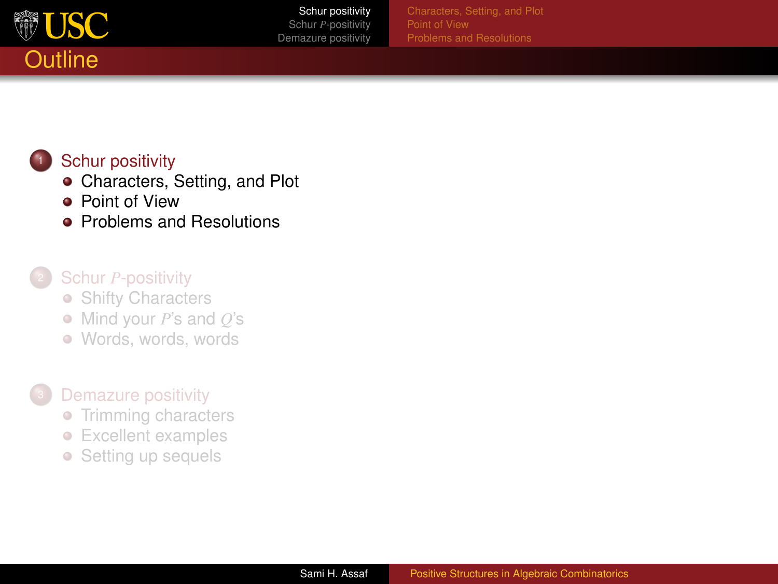<span id="page-2-0"></span>

### [Schur positivity](#page-2-0)

- **[Characters, Setting, and Plot](#page-3-0)**
- **•** [Point of View](#page-6-0)
- **•** [Problems and Resolutions](#page-7-0)

#### Schur *P*[-positivity](#page-10-0)

- [Shifty Characters](#page-11-0)
- [Mind your](#page-14-0) *P*'s and *Q*'s
- [Words, words, words](#page-15-0)

### **[Demazure positivity](#page-16-0)**

- **[Trimming characters](#page-17-0)**
- [Excellent examples](#page-20-0)  $\bullet$
- [Setting up sequels](#page-22-0)  $\hfill \textcircled{.}$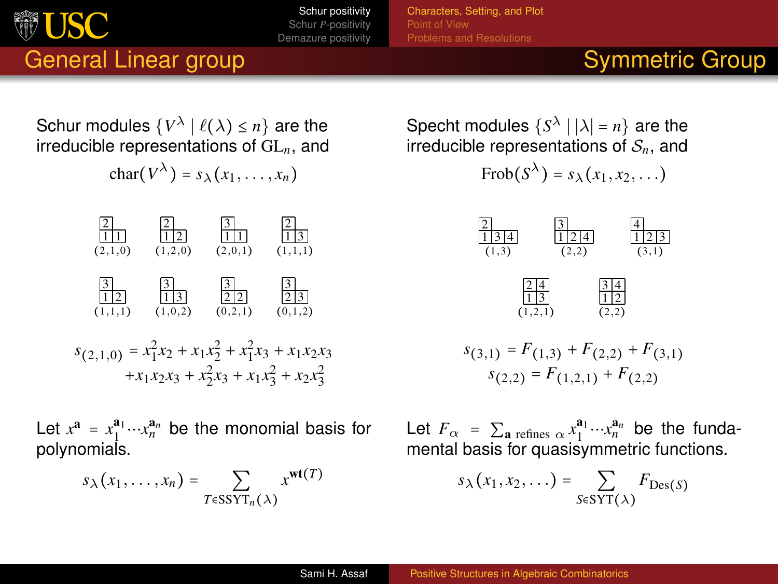[Characters, Setting, and Plot](#page-3-0) [Point of View](#page-6-0)

## General Linear group Symmetric Group

<span id="page-3-0"></span>新 USC

Schur modules  $\{V^{\lambda} \mid \ell(\lambda) \leq n\}$  are the irreducible representations of GL*n*, and

char( $V^{\lambda}$ ) =  $s_{\lambda}(x_1, \ldots, x_n)$ 



Let  $x^{\mathbf{a}} = x_1^{\mathbf{a}_1} \cdots x_n^{\mathbf{a}_n}$  be the monomial basis for polynomials.

$$
s_{\lambda}(x_1,\ldots,x_n)=\sum_{T\in \text{SSYT}_n(\lambda)}x^{\text{wt}(T)}
$$

Specht modules  $\{S^{\lambda} \mid |\lambda| = n\}$  are the irreducible representations of S*n*, and

$$
\mathrm{Frob}(S^\lambda)=s_\lambda\big(x_1,x_2,\ldots\big)
$$



$$
s_{(3,1)} = F_{(1,3)} + F_{(2,2)} + F_{(3,1)}
$$
  

$$
s_{(2,2)} = F_{(1,2,1)} + F_{(2,2)}
$$

Let  $F_\alpha = \sum_{\mathbf{a} \text{ refines } \alpha} x_1^{\mathbf{a}_1} \cdots x_n^{\mathbf{a}_n}$  be the fundamental basis for quasisymmetric functions.

$$
s_{\lambda}(x_1,x_2,\ldots)=\sum_{S\in \text{SYT}(\lambda)}F_{\text{Des}(S)}
$$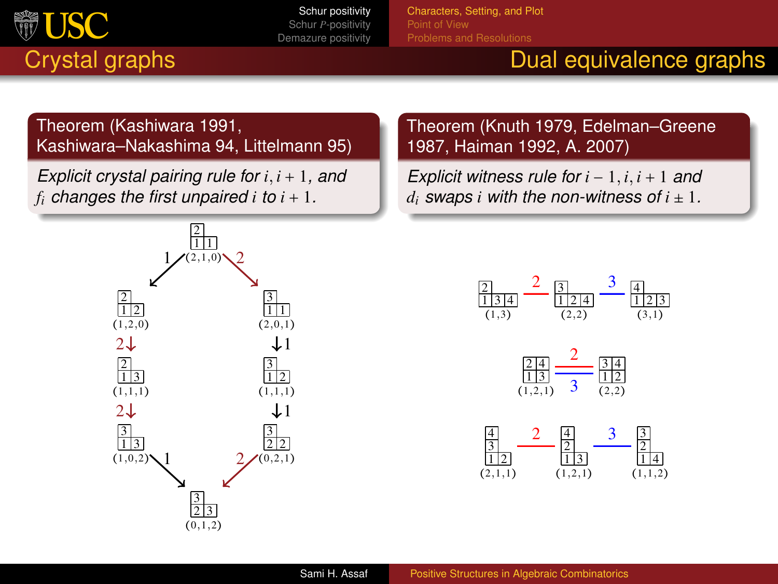

[Characters, Setting, and Plot](#page-3-0)

## Crystal graphs Dual equivalence graphs

#### Theorem (Kashiwara 1991, Kashiwara–Nakashima 94, Littelmann 95)

*Explicit crystal pairing rule for i*, *i* + 1*, and*  $f_i$  *changes the first unpaired i to*  $i + 1$ *.* 



#### Theorem (Knuth 1979, Edelman–Greene 1987, Haiman 1992, A. 2007)

*Explicit witness rule for i* − 1, *i*, *i* + 1 *and d*<sub>*i*</sub> *swaps i with the non-witness of*  $i \pm 1$ *.* 





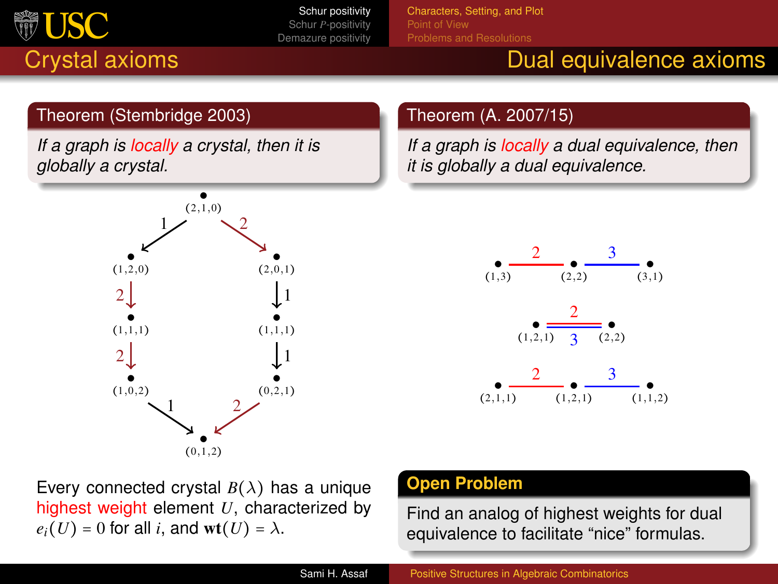

[Characters, Setting, and Plot](#page-3-0)

# Crystal axioms **Dual equivalence axioms** Dual equivalence axioms

#### Theorem (Stembridge 2003)

*If a graph is locally a crystal, then it is globally a crystal.*



#### Theorem (A. 2007/15)

*If a graph is locally a dual equivalence, then it is globally a dual equivalence.*



Every connected crystal  $B(\lambda)$  has a unique highest weight element *U*, characterized by  $e_i(U) = 0$  for all *i*, and wt(*U*) =  $\lambda$ .

#### **Open Problem**

Find an analog of highest weights for dual equivalence to facilitate "nice" formulas.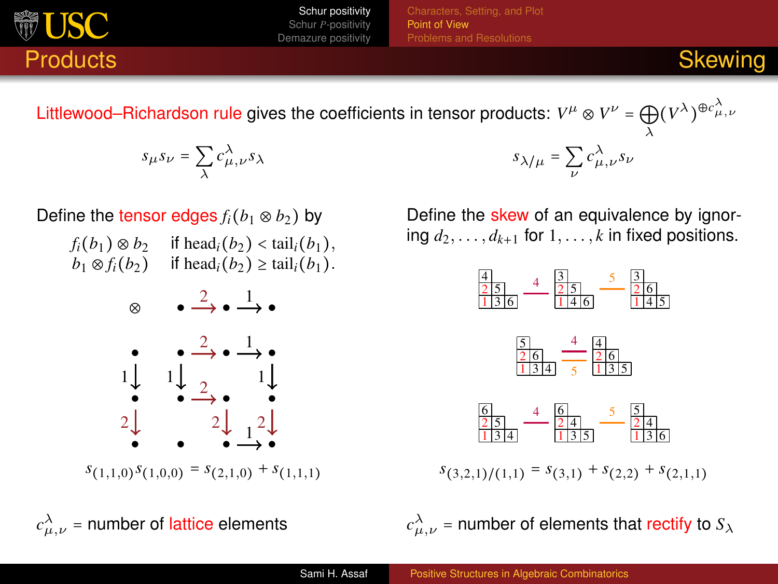<span id="page-6-0"></span>

[Point of View](#page-6-0)

Littlewood–Richardson rule gives the coefficients in tensor products:  $V^\mu \otimes V^\nu = \bigoplus_\lambda (V^\lambda)^{\oplus c^\lambda_{\mu,\nu}}$ 

$$
s_\mu s_\nu = \sum_\lambda c_{\mu,\nu}^\lambda s_\lambda
$$

Define the tensor edges 
$$
f_i(b_1 \otimes b_2)
$$
 by

| $f_i(b_1) \otimes b_2$ | if head <sub><i>i</i></sub> $(b_2)$ < tail <sub><i>i</i></sub> $(b_1)$ , |
|------------------------|--------------------------------------------------------------------------|
| $b_1 \otimes f_i(b_2)$ | if head <sub><i>i</i></sub> $(b_2) \ge \text{tail}_i(b_1)$ .             |



 $s_{(1,1,0)} s_{(1,0,0)} = s_{(2,1,0)} + s_{(1,1,1)}$ 

 $c^{\lambda}_{\mu,\nu}$  = number of lattice elements *c* 

*s*<sub>λ/μ</sub> =  $\sum_{\nu} c^{\lambda}_{\mu, \nu} s_{\nu}$ 

Define the skew of an equivalence by ignoring  $d_2, \ldots, d_{k+1}$  for  $1, \ldots, k$  in fixed positions.



 $s_{(3,2,1)/(1,1)} = s_{(3,1)} + s_{(2,2)} + s_{(2,1,1)}$ 

 $_{\mu,\nu}^{\lambda}$  = number of elements that rectify to  $S_{\lambda}$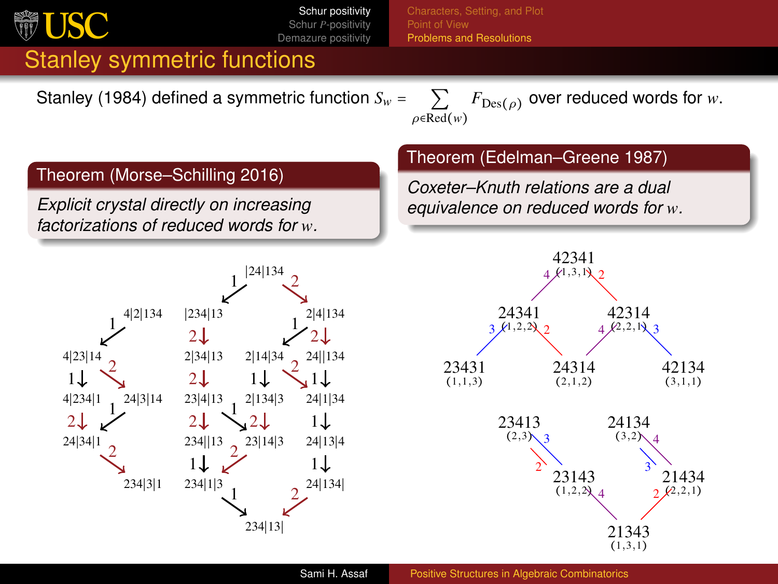<span id="page-7-0"></span>

[Problems and Resolutions](#page-7-0)

## Stanley symmetric functions

Stanley (1984) defined a symmetric function  $S_w = \sum$ 

 $\rho \in \overline{\text{Red}}(w)$  $F_{\text{Des}(\rho)}$  over reduced words for *w*.

#### Theorem (Morse–Schilling 2016)

*Explicit crystal directly on increasing factorizations of reduced words for w.*



#### Theorem (Edelman–Greene 1987)

*Coxeter–Knuth relations are a dual equivalence on reduced words for w.*

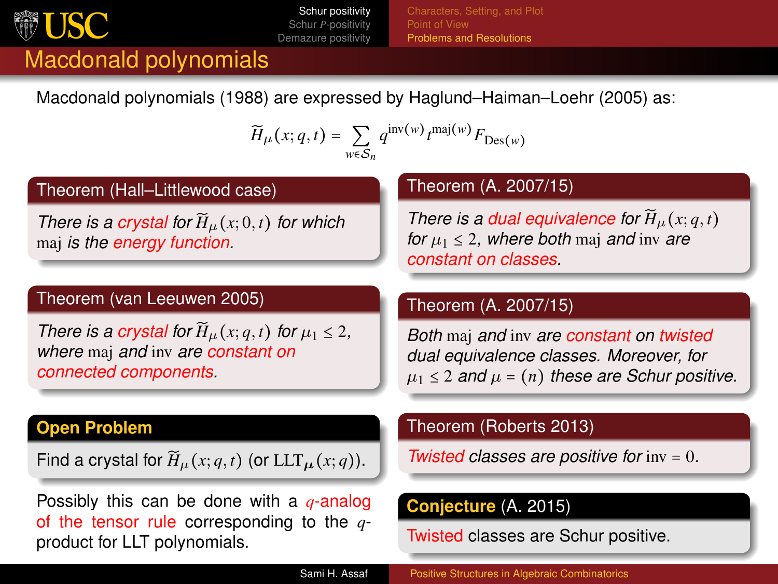

[Point of View](#page-6-0) [Problems and Resolutions](#page-7-0)

## Macdonald polynomials

Macdonald polynomials (1988) are expressed by Haglund–Haiman–Loehr (2005) as:

$$
\widetilde{H}_{\mu}(x;q,t) = \sum_{w \in S_n} q^{\text{inv}(w)} t^{\text{maj}(w)} F_{\text{Des}(w)}
$$

#### Theorem (Hall–Littlewood case)

*There is a crystal for*  $H_u(x; 0, t)$  *for which* maj *is the energy function.*

#### Theorem (van Leeuwen 2005)

*There is a crystal for*  $\widetilde{H}_{\mu}(x; q, t)$  *for*  $\mu_1 \leq 2$ , *where* maj *and* inv *are constant on connected components.*

#### **Open Problem**

Find a crystal for  $\widetilde{H}_{\mu}(x;q,t)$  (or  $LLT_{\mu}(x;q)$ ).

Possibly this can be done with a *q*-analog of the tensor rule corresponding to the *q*product for LLT polynomials.

#### Theorem (A. 2007/15)

*There is a dual equivalence for*  $H$ <sub> $\mu$ *</sub>(<i>x*; *q*, *t*)</sub> *for*  $\mu_1 \leq 2$ , where both maj and inv are *constant on classes.*

#### Theorem (A. 2007/15)

*Both* maj *and* inv *are constant on twisted dual equivalence classes. Moreover, for*  $\mu_1 \leq 2$  *and*  $\mu = (n)$  *these are Schur positive.* 

#### Theorem (Roberts 2013)

*Twisted classes are positive for* inv = 0*.*

#### **Conjecture** (A. 2015)

Twisted classes are Schur positive.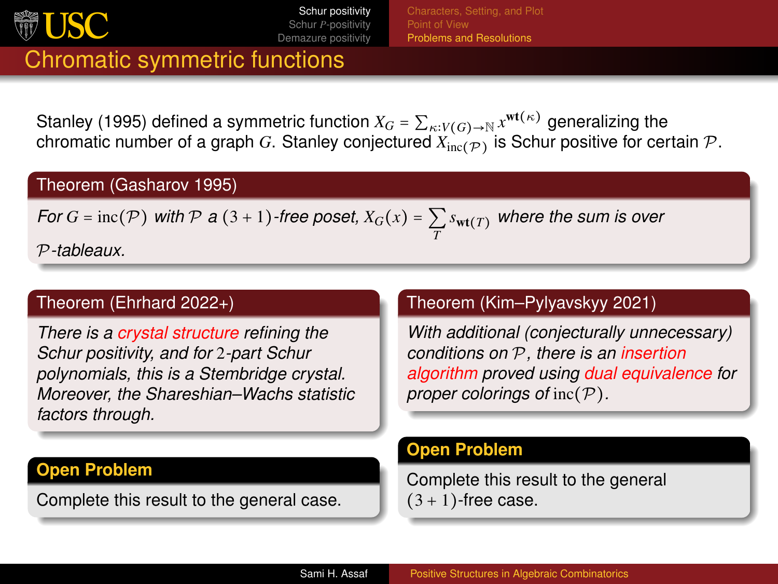

[Problems and Resolutions](#page-7-0)

## Chromatic symmetric functions

Stanley (1995) defined a symmetric function  $X_G = \sum_{\kappa: V(G) \to \mathbb{N}} x^{\text{wt}(\kappa)}$  generalizing the chromatic number of a graph  $G$ . Stanley conjectured  $X_{\text{inc}(\mathcal{P})}$  is Schur positive for certain  $\mathcal{P}.$ 

#### Theorem (Gasharov 1995)

*For*  $G = \text{inc}(\mathcal{P})$  *with*  $\mathcal{P}$  *a*  $(3+1)$ *-free poset,*  $X_G(x) = \sum s_{\textbf{wt}(T)}$  *where the sum is over T* P*-tableaux.*

#### Theorem (Ehrhard 2022+)

*There is a crystal structure refining the Schur positivity, and for* 2*-part Schur polynomials, this is a Stembridge crystal. Moreover, the Shareshian–Wachs statistic factors through.*

#### **Open Problem**

Complete this result to the general case.

#### Theorem (Kim–Pylyavskyy 2021)

*With additional (conjecturally unnecessary) conditions on* P*, there is an insertion algorithm proved using dual equivalence for proper colorings of inc(P).* 

#### **Open Problem**

Complete this result to the general  $(3 + 1)$ -free case.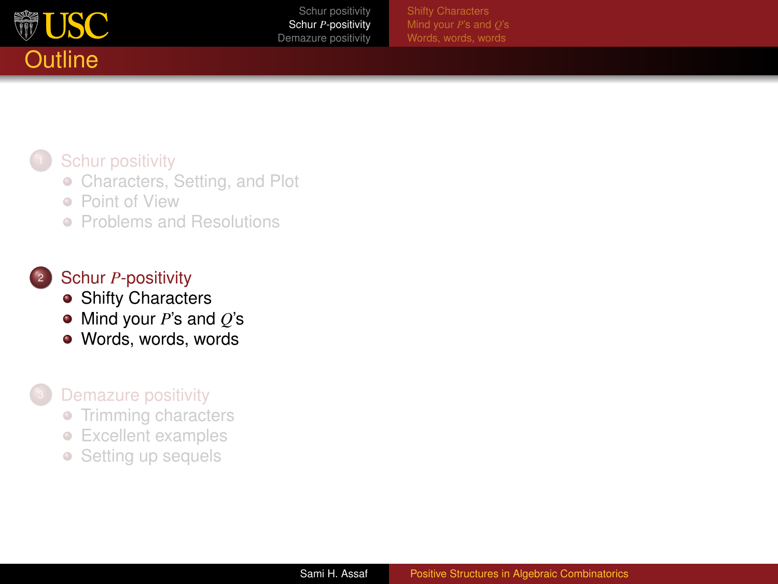<span id="page-10-0"></span>

[Words, words, words](#page-15-0)

### **[Schur positivity](#page-2-0)**

- **[Characters, Setting, and Plot](#page-3-0)**
- **[Point of View](#page-6-0)**
- **[Problems and Resolutions](#page-7-0)**

## Schur *P*[-positivity](#page-10-0)

- **[Shifty Characters](#page-11-0)**
- [Mind your](#page-14-0) *P*'s and *Q*'s
- [Words, words, words](#page-15-0)

### **[Demazure positivity](#page-16-0)**

- **[Trimming characters](#page-17-0)**
- [Excellent examples](#page-20-0)  $\bullet$
- [Setting up sequels](#page-22-0)  $\bullet$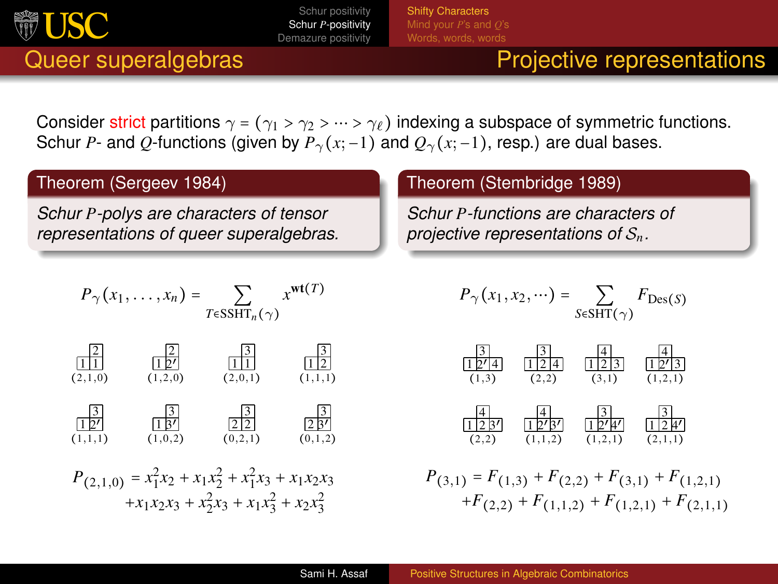<span id="page-11-0"></span>

[Shifty Characters](#page-11-0) [Words, words, words](#page-15-0)

## Queer superalgebras **Projective representations**

Consider strict partitions  $\gamma = (\gamma_1 > \gamma_2 > \cdots > \gamma_\ell)$  indexing a subspace of symmetric functions. Schur *P*- and *Q*-functions (given by  $P_\gamma(x; -1)$  and  $Q_\gamma(x; -1)$ , resp.) are dual bases.

### Theorem (Sergeev 1984)

*Schur P-polys are characters of tensor representations of queer superalgebras.*

$$
P_{\gamma}(x_1,\ldots,x_n)=\sum_{T\in \text{SSHT}_n(\gamma)}x^{\text{wt}(T)}
$$

$$
\begin{array}{c|cc}\n\boxed{2} & \boxed{2} & \boxed{3} & \boxed{3} \\
\boxed{11} & \boxed{12'} & \boxed{11} & \boxed{12} \\
(2,1,0) & (1,2,0) & (2,0,1) & (1,1,1)\n\end{array}
$$

$$
\begin{array}{c|cc}\n\boxed{3} & \boxed{3} & \boxed{3} & \boxed{3} \\
\boxed{12'} & \boxed{13'} & \boxed{212} & \boxed{23'} \\
(1,1,1) & (1,0,2) & (0,2,1) & (0,1,2)\n\end{array}
$$

$$
\begin{array}{c} P_{(2,1,0)}=x_{1}^{2}x_{2}+x_{1}x_{2}^{2}+x_{1}^{2}x_{3}+x_{1}x_{2}x_{3}\\ +x_{1}x_{2}x_{3}+x_{2}^{2}x_{3}+x_{1}x_{3}^{2}+x_{2}x_{3}^{2} \end{array}
$$

#### Theorem (Stembridge 1989)

*Schur P-functions are characters of projective representations of* S*n.*

$$
P_{\gamma}(x_1, x_2, \cdots) = \sum_{S \in \text{SHT}(\gamma)} F_{\text{Des}(S)}
$$



 $P_{(3,1)} = F_{(1,3)} + F_{(2,2)} + F_{(3,1)} + F_{(1,2,1)}$  $+F(2,2) + F(1,1,2) + F(1,2,1) + F(2,1,1)$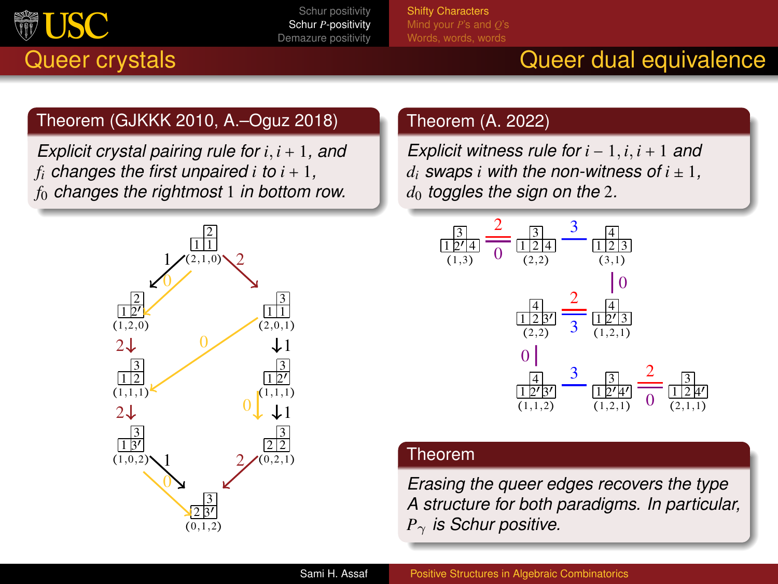

[Shifty Characters](#page-11-0) [Words, words, words](#page-15-0)

## Queer crystals Queer dual equivalence

### Theorem (GJKKK 2010, A.–Oguz 2018)

*Explicit crystal pairing rule for i*, *i* + 1*, and f*<sub>*i*</sub> *changes the first unpaired*  $i$  *<i>to*  $i + 1$ *, f*<sup>0</sup> *changes the rightmost* 1 *in bottom row.*



### Theorem (A. 2022)

*Explicit witness rule for i* − 1, *i*, *i* + 1 *and d*<sub>*i*</sub> *swaps i with the non-witness of*  $i \pm 1$ , *d*<sup>0</sup> *toggles the sign on the* 2*.*



#### Theorem

*Erasing the queer edges recovers the type A structure for both paradigms. In particular, P*γ *is Schur positive.*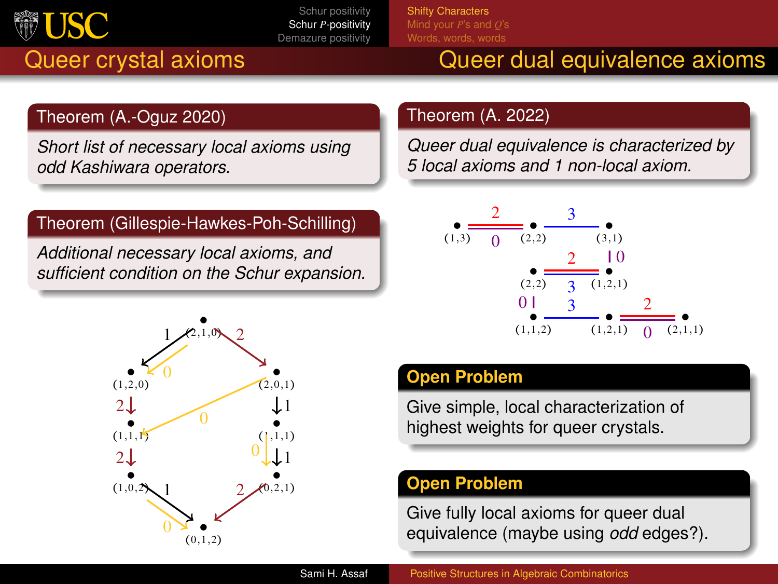

[Shifty Characters](#page-11-0) [Words, words, words](#page-15-0)

## Queer crystal axioms **Queer dual equivalence axioms**

### Theorem (A.-Oguz 2020)

*Short list of necessary local axioms using odd Kashiwara operators.*

#### Theorem (Gillespie-Hawkes-Poh-Schilling)

*Additional necessary local axioms, and sufficient condition on the Schur expansion.*



#### Theorem (A. 2022)

*Queer dual equivalence is characterized by 5 local axioms and 1 non-local axiom.*



### **Open Problem**

Give simple, local characterization of highest weights for queer crystals.

#### **Open Problem**

Give fully local axioms for queer dual equivalence (maybe using *odd* edges?).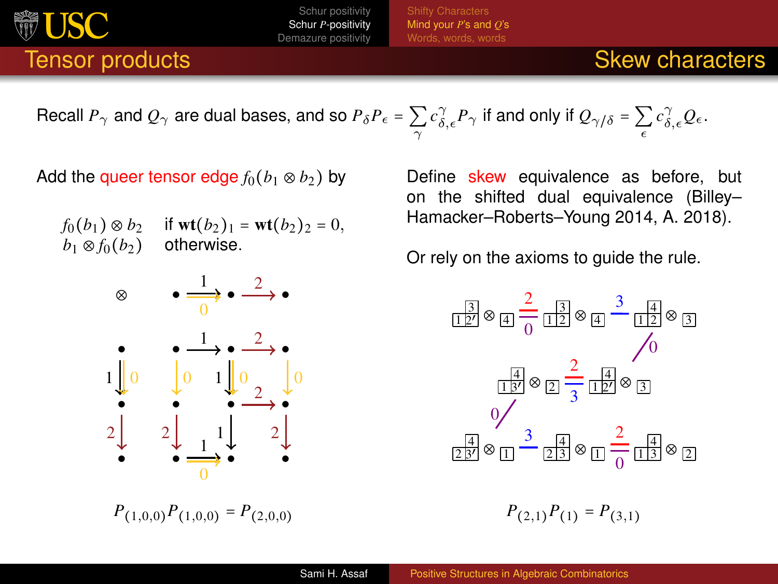[Mind your](#page-14-0) *P*'s and *Q*'s [Words, words, words](#page-15-0)

## **Tensor products** Skew characters Skew characters Skew characters

Recall 
$$
P_{\gamma}
$$
 and  $Q_{\gamma}$  are dual bases, and so  $P_{\delta}P_{\epsilon} = \sum_{\gamma} c_{\delta,\epsilon}^{\gamma} P_{\gamma}$  if and only if  $Q_{\gamma/\delta} = \sum_{\epsilon} c_{\delta,\epsilon}^{\gamma} Q_{\epsilon}$ .

Add the queer tensor edge  $f_0(b_1 \otimes b_2)$  by

<span id="page-14-0"></span>**USC** 

 $f_0(b_1) \otimes b_2$  if  $\text{wt}(b_2)_1 = \text{wt}(b_2)_2 = 0$ ,  $b_1 \otimes f_0(b_2)$  otherwise.



 $P_{(1,0,0)}P_{(1,0,0)} = P_{(2,0,0)}$ 

Define skew equivalence as before, but on the shifted dual equivalence (Billey– Hamacker–Roberts–Young 2014, A. 2018).

Or rely on the axioms to guide the rule.

$$
\frac{1}{2} \otimes \frac{2}{4} \frac{1}{12} \otimes \frac{3}{4} \frac{1}{12} \otimes \frac{3}{12} \otimes \frac{3}{12} \otimes \frac{3}{12} \otimes \frac{3}{12} \otimes \frac{3}{12} \otimes \frac{3}{12} \otimes \frac{3}{12} \otimes \frac{3}{12} \otimes \frac{3}{12} \otimes \frac{3}{12} \otimes \frac{2}{12} \otimes \frac{1}{12} \otimes \frac{3}{12} \otimes \frac{3}{12} \otimes \frac{3}{12} \otimes \frac{3}{12} \otimes \frac{3}{12} \otimes \frac{2}{12} \otimes \frac{1}{12} \otimes \frac{3}{12} \otimes \frac{3}{12} \otimes \frac{3}{12} \otimes \frac{3}{12} \otimes \frac{3}{12} \otimes \frac{3}{12} \otimes \frac{3}{12} \otimes \frac{3}{12} \otimes \frac{3}{12} \otimes \frac{3}{12} \otimes \frac{3}{12} \otimes \frac{3}{12} \otimes \frac{3}{12} \otimes \frac{3}{12} \otimes \frac{3}{12} \otimes \frac{3}{12} \otimes \frac{3}{12} \otimes \frac{3}{12} \otimes \frac{3}{12} \otimes \frac{3}{12} \otimes \frac{3}{12} \otimes \frac{3}{12} \otimes \frac{3}{12} \otimes \frac{3}{12} \otimes \frac{3}{12} \otimes \frac{3}{12} \otimes \frac{3}{12} \otimes \frac{3}{12} \otimes \frac{3}{12} \otimes \frac{3}{12} \otimes \frac{3}{12} \otimes \frac{3}{12} \otimes \frac{3}{12} \otimes \frac{3}{12} \otimes \frac{3}{12} \otimes \frac{3}{12} \otimes \frac{3}{12} \otimes \frac{3}{12} \otimes \frac{3}{12} \otimes \frac{3}{12} \otimes \frac{3}{12} \otimes \frac{3}{12} \otimes \frac{3}{12} \otimes \frac{3}{12} \otimes \frac{3}{12} \otimes \frac{3}{12} \ot
$$

 $P_{(2,1)}P_{(1)} = P_{(3,1)}$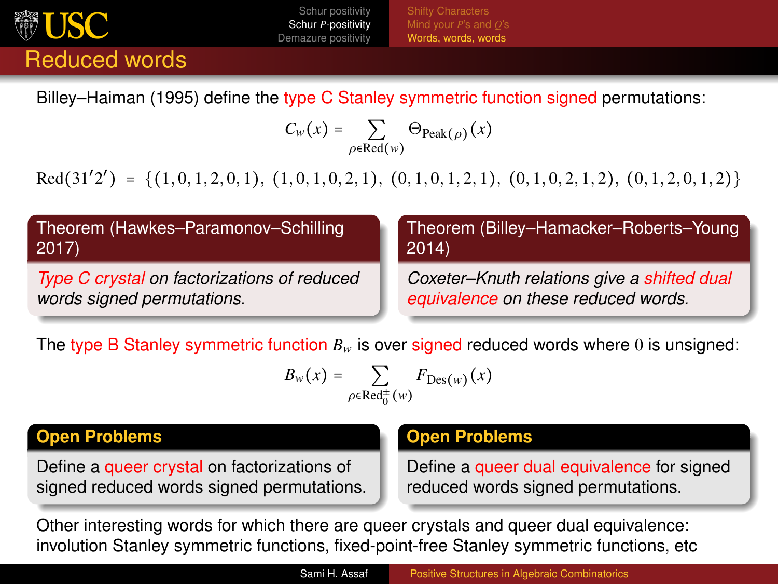<span id="page-15-0"></span>

[Words, words, words](#page-15-0)

Billey–Haiman (1995) define the type C Stanley symmetric function signed permutations:

$$
C_w(x) = \sum_{\rho \in \text{Red}(w)} \Theta_{\text{Peak}(\rho)}(x)
$$

 $\text{Red}(31'2') = \{(1, 0, 1, 2, 0, 1), (1, 0, 1, 0, 2, 1), (0, 1, 0, 1, 2, 1), (0, 1, 0, 2, 1, 2), (0, 1, 2, 0, 1, 2)\}\$ 

| Theorem (Hawkes-Paramonov-Schilling         | Theorem (Billey-Hamacker-Roberts-Young      |
|---------------------------------------------|---------------------------------------------|
| 2017                                        | 2014                                        |
| Type C crystal on factorizations of reduced | Coxeter-Knuth relations give a shifted dual |
| words signed permutations.                  | equivalence on these reduced words.         |

The type B Stanley symmetric function  $B_w$  is over signed reduced words where 0 is unsigned:

$$
B_w\big(x\big)=\sum_{\rho\in\text{Red}^{\pm}_0(w)}F_{\text{Des}(w)}\big(x\big)
$$

#### **Open Problems**

Define a queer crystal on factorizations of signed reduced words signed permutations.

#### **Open Problems**

Define a queer dual equivalence for signed reduced words signed permutations.

Other interesting words for which there are queer crystals and queer dual equivalence: involution Stanley symmetric functions, fixed-point-free Stanley symmetric functions, etc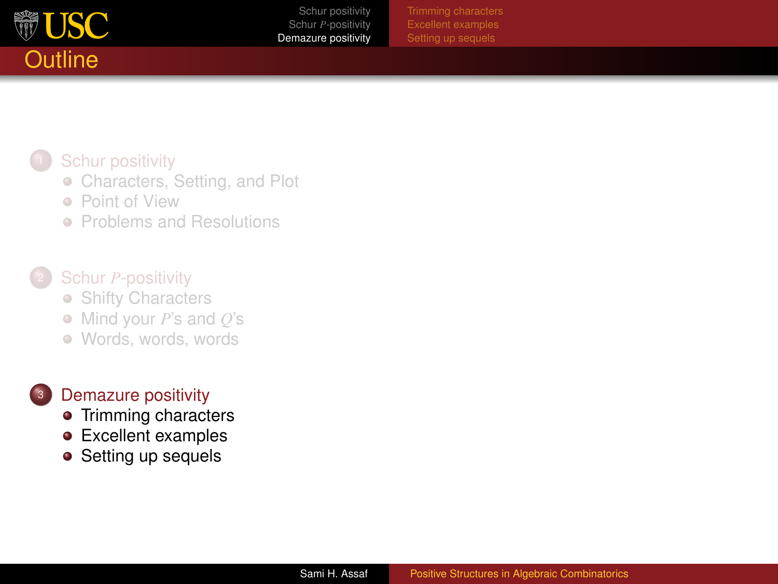<span id="page-16-0"></span>

## **[Schur positivity](#page-2-0)**

- **[Characters, Setting, and Plot](#page-3-0)**
- **[Point of View](#page-6-0)**
- **[Problems and Resolutions](#page-7-0)**

### Schur *P*[-positivity](#page-10-0)

- [Shifty Characters](#page-11-0)
- [Mind your](#page-14-0) *P*'s and *Q*'s
- [Words, words, words](#page-15-0)

#### [Demazure positivity](#page-16-0)

- [Trimming characters](#page-17-0)
- **•** [Excellent examples](#page-20-0)
- [Setting up sequels](#page-22-0)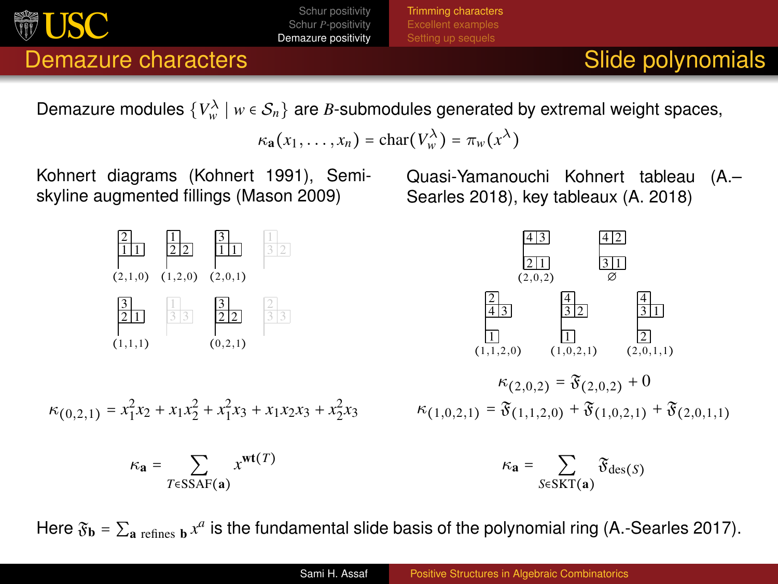<span id="page-17-0"></span>

[Trimming characters](#page-17-0)

## Demazure characters **Slide polynomials Slide polynomials**

Demazure modules  $\{V^{\lambda}_w \mid w \in S_n\}$  are *B*-submodules generated by extremal weight spaces,

$$
\kappa_{\mathbf{a}}(x_1,\ldots,x_n)=\mathrm{char}(V^\lambda_w)=\pi_w(x^\lambda)
$$

Kohnert diagrams (Kohnert 1991), Semiskyline augmented fillings (Mason 2009)



$$
\kappa_{(0,2,1)}=x_1^2x_2+x_1x_2^2+x_1^2x_3+x_1x_2x_3+x_2^2x_3
$$

$$
\kappa_{\mathbf{a}} = \sum_{T \in \text{SSAF}(\mathbf{a})} x^{\text{wt}(T)}
$$

Quasi-Yamanouchi Kohnert tableau (A.– Searles 2018), key tableaux (A. 2018)



$$
\begin{aligned} \kappa_{(2,0,2)} = \mathfrak{F}_{(2,0,2)} + 0 \\ \kappa_{(1,0,2,1)} = \mathfrak{F}_{(1,1,2,0)} + \mathfrak{F}_{(1,0,2,1)} + \mathfrak{F}_{(2,0,1,1)} \end{aligned}
$$

$$
\kappa_{\mathbf{a}} = \sum_{S \in \text{SKT}(\mathbf{a})} \mathfrak{F}_{\text{des}(S)}
$$

Here  $\mathfrak{F}_\textbf{b}$  =  $\Sigma_\textbf{a}$  <sub>refines  $_\textbf{b}$  x<sup>a</sup> is the fundamental slide basis of the polynomial ring (A.-Searles 2017).</sub>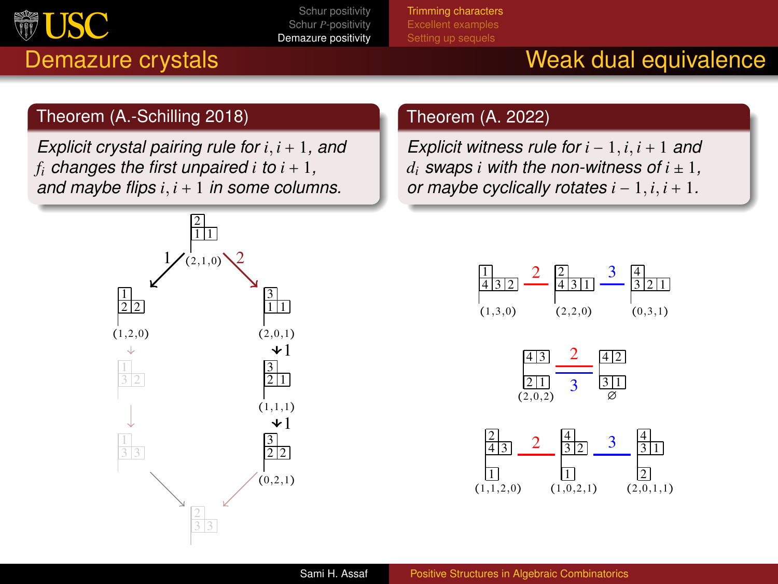

Theorem (A.-Schilling 2018)

#### [Schur positivity](#page-2-0) Schur *P*[-positivity](#page-10-0) [Demazure positivity](#page-16-0)

[Trimming characters](#page-17-0)

# Demazure crystals New York Weak dual equivalence

### Theorem (A. 2022)

*Explicit witness rule for i* − 1, *i*, *i* + 1 *and d*<sub>*i*</sub> *swaps i with the non-witness of*  $i \pm 1$ *, or maybe cyclically rotates*  $i - 1$ ,  $i$ ,  $i + 1$ .







*Explicit crystal pairing rule for i*, *i* + 1*, and f*<sub>*i*</sub> *changes the first unpaired*  $i$  *<i>to*  $i + 1$ *, and maybe flips i*, *i* + 1 *in some columns.*

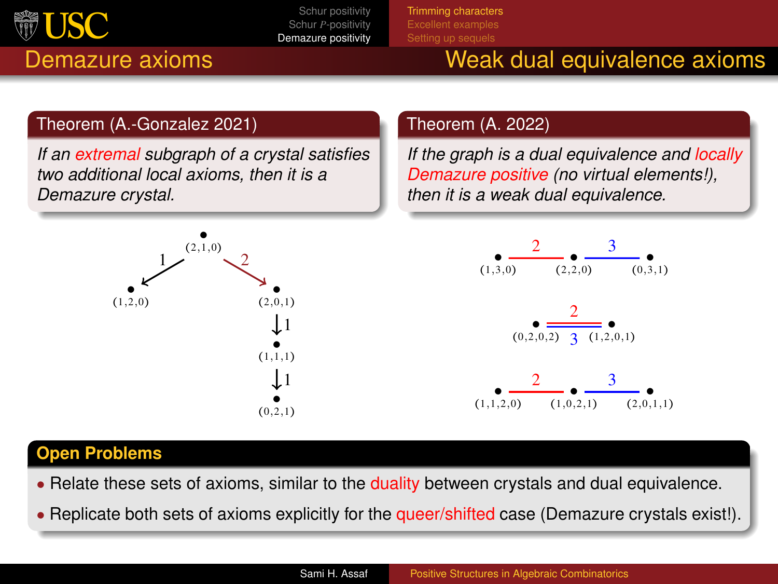

[Trimming characters](#page-17-0)

## Demazure axioms Weak dual equivalence axioms

### Theorem (A.-Gonzalez 2021)

*If an extremal subgraph of a crystal satisfies two additional local axioms, then it is a Demazure crystal.*

## $(2,1,0)$ ● ●  $(1,1,1)$  $(0, 2, 1)$  $(1,2,0)$   $(2,0,1)$  $1$   $\sqrt{2}$  $\downarrow$  1 1

#### Theorem (A. 2022)

*If the graph is a dual equivalence and locally Demazure positive (no virtual elements!), then it is a weak dual equivalence.*



#### **Open Problems**

- Relate these sets of axioms, similar to the duality between crystals and dual equivalence.
- Replicate both sets of axioms explicitly for the queer/shifted case (Demazure crystals exist!).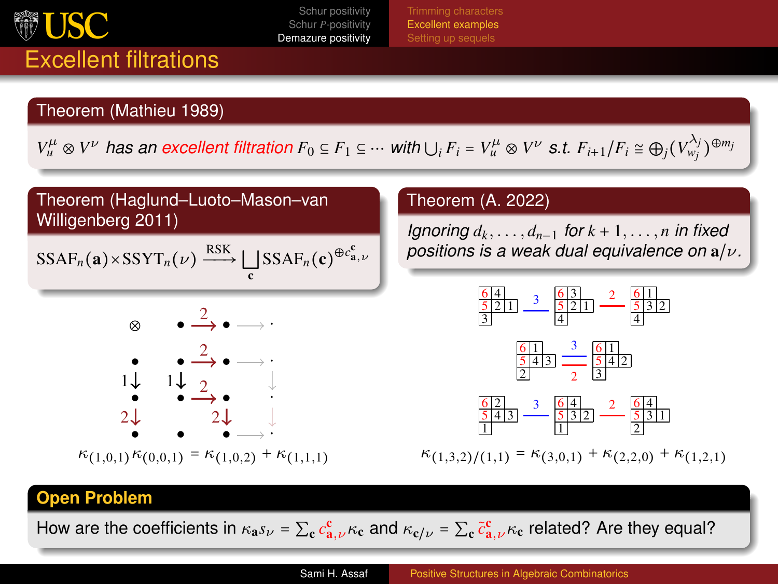<span id="page-20-0"></span>

[Excellent examples](#page-20-0)

# Theorem (Mathieu 1989)

Excellent filtrations

 $V^\mu_u\otimes V^\nu$  has an excellent filtration  $F_0\subseteq F_1\subseteq\cdots$  with  $\bigcup_i F_i=V^\mu_u\otimes V^\nu$  s.t.  $F_{i+1}/F_i\cong\bigoplus_j(V^{\lambda_j}_{w_j})^{\oplus m_j}$ 

### Theorem (Haglund–Luoto–Mason–van Willigenberg 2011)

$$
SSAF_n(\mathbf{a}) \times SSYT_n(\nu) \xrightarrow{RSK} \bigsqcup_{\mathbf{c}}SSAF_n(\mathbf{c})^{\oplus c_{\mathbf{a},\nu}^{\mathbf{c}}}
$$



 $\kappa_{(1,0,1)}\kappa_{(0,0,1)} = \kappa_{(1,0,2)} + \kappa_{(1,1,1)}$ 

#### Theorem (A. 2022)

*Ignoring*  $d_k, \ldots, d_{n-1}$  *for*  $k + 1, \ldots, n$  *in fixed positions is a weak dual equivalence on* a/ν*.*



 $\kappa_{(1,3,2)/(1,1)} = \kappa_{(3,0,1)} + \kappa_{(2,2,0)} + \kappa_{(1,2,1)}$ 

#### **Open Problem**

How are the coefficients in  $\kappa_a s_\nu = \sum_c c^c_{a,\nu} \kappa_c$  and  $\kappa_{c/\nu} = \sum_c \tilde{c}^c_{a,\nu} \kappa_c$  related? Are they equal?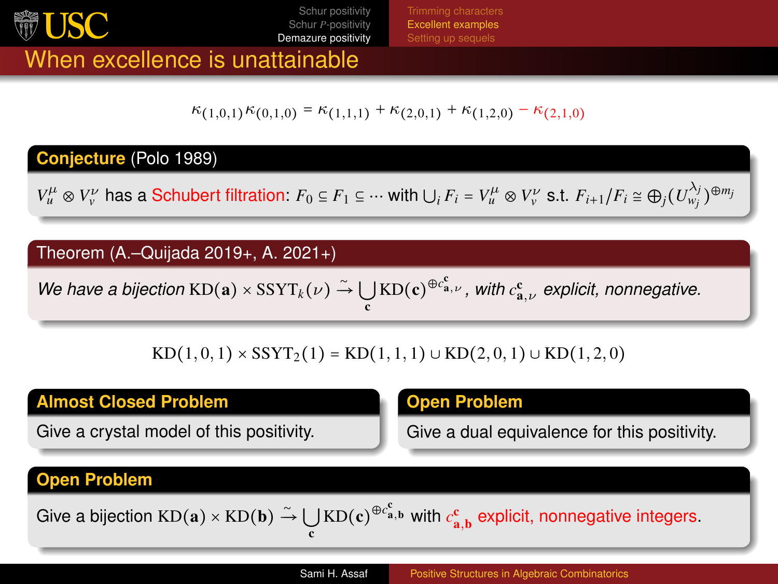

[Excellent examples](#page-20-0)

## When excellence is unattainable

 $\kappa_{(1,0,1)}\kappa_{(0,1,0)} = \kappa_{(1,1,1)} + \kappa_{(2,0,1)} + \kappa_{(1,2,0)} - \kappa_{(2,1,0)}$ 

#### **Conjecture** (Polo 1989)

 $V_u^{\mu} \otimes V_{\nu}^{\nu}$  has a Schubert filtration:  $F_0 \subseteq F_1 \subseteq \cdots$  with  $\bigcup_i F_i = V_u^{\mu} \otimes V_{\nu}^{\nu}$  s.t.  $F_{i+1}/F_i \cong \bigoplus_j (U_{w_j}^{\lambda_j})^{\oplus m_j}$ 

#### Theorem (A.–Quijada 2019+, A. 2021+)

 $W$ e have a bijection  $KD(a)\times SSYT_k(\nu) \stackrel{\sim}{\to} \bigcup KD(c)^{\oplus c_{a,\nu}^c}$ , with  $c_{a,\nu}^c$  explicit, nonnegative. c

KD(1, 0, 1) × SSYT<sub>2</sub>(1) = KD(1, 1, 1) ∪ KD(2, 0, 1) ∪ KD(1, 2, 0)

#### **Almost Closed Problem**

Give a crystal model of this positivity.

#### **Open Problem**

Give a dual equivalence for this positivity.

#### **Open Problem**

Give a bijection  $KD(a) \times KD(b) \stackrel{\sim}{\rightarrow} \bigcup_c KD(c)^{\oplus c^c_{a,b}}$  with  $c^c_{a,b}$  explicit, nonnegative integers.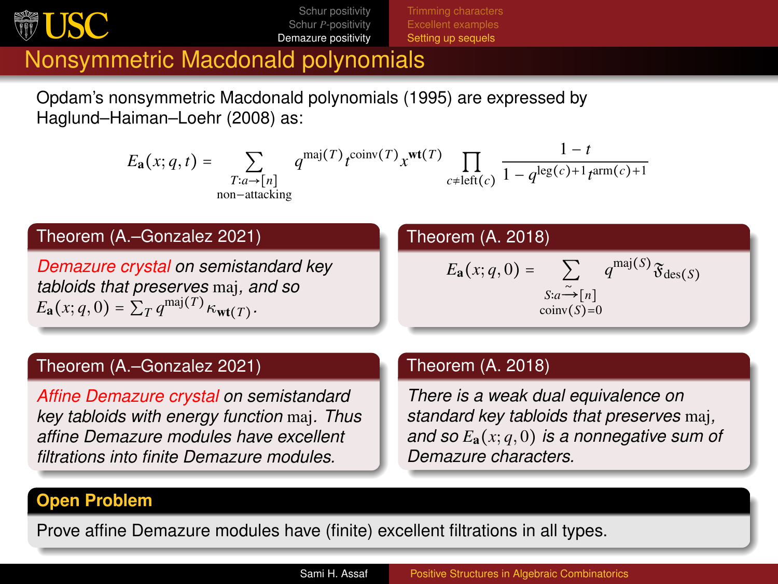<span id="page-22-0"></span>

[Setting up sequels](#page-22-0)

## Nonsymmetric Macdonald polynomials

Opdam's nonsymmetric Macdonald polynomials (1995) are expressed by Haglund–Haiman–Loehr (2008) as:

$$
E_{\mathbf{a}}(x;q,t) = \sum_{\substack{T:a \to [n] \\ \text{non-attacking}}} q^{\text{maj}(T)} t^{\text{coinv}(T)} x^{\text{wt}(T)} \prod_{c \neq \text{left}(c)} \frac{1-t}{1 - q^{\text{leg}(c) + 1} t^{\text{arm}(c) + 1}}
$$

#### Theorem (A.–Gonzalez 2021)

*Demazure crystal on semistandard key tabloids that preserves* maj*, and so*  $E_{\mathbf{a}}(x; q, 0) = \sum_{T} q^{\text{maj}(T)} \kappa_{\text{wt}(T)}$ .

#### Theorem (A. 2018)

$$
E_{\mathbf{a}}(x; q, 0) = \sum_{\substack{S: a \xrightarrow{\sim} [n] \\ \text{coinv}(S) = 0}} q^{\text{maj}(S)} \mathfrak{F}_{\text{des}(S)}
$$

#### Theorem (A.–Gonzalez 2021)

*Affine Demazure crystal on semistandard key tabloids with energy function* maj*. Thus affine Demazure modules have excellent filtrations into finite Demazure modules.*

#### Theorem (A. 2018)

*There is a weak dual equivalence on standard key tabloids that preserves* maj*, and so E*a(*x*; *q*, 0) *is a nonnegative sum of Demazure characters.*

#### **Open Problem**

Prove affine Demazure modules have (finite) excellent filtrations in all types.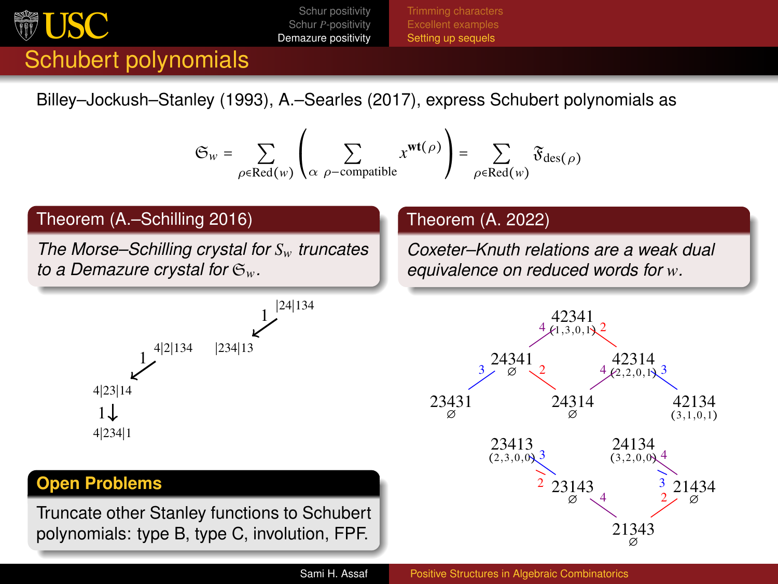<span id="page-23-0"></span>

[Setting up sequels](#page-22-0)

# Schubert polynomials

Billey–Jockush–Stanley (1993), A.–Searles (2017), express Schubert polynomials as

$$
\mathfrak{S}_w = \sum_{\rho \in \text{Red}(w)} \left( \sum_{\alpha \text{ } \rho \text{-compatible}} x^{\text{wt}(\rho)} \right) = \sum_{\rho \in \text{Red}(w)} \mathfrak{F}_{\text{des}(\rho)}
$$

#### Theorem (A.–Schilling 2016)

*The Morse–Schilling crystal for Sw truncates to a Demazure crystal for* S*w.*



#### **Open Problems**

Truncate other Stanley functions to Schubert polynomials: type B, type C, involution, FPF.

#### Theorem (A. 2022)

*Coxeter–Knuth relations are a weak dual equivalence on reduced words for w.*